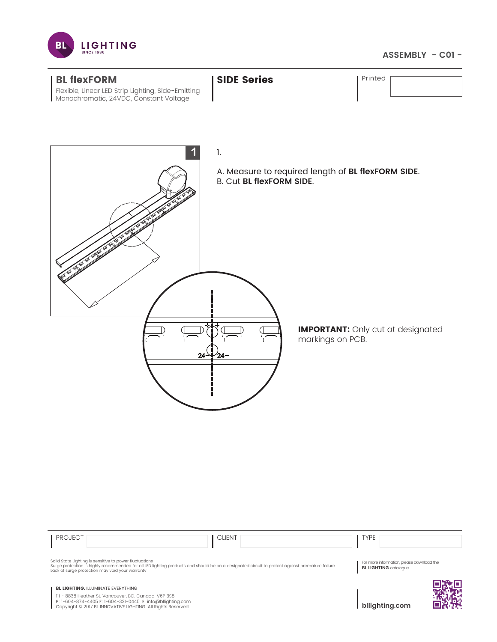

## **ASSEMBLY - C01 -**



111 - 8838 Heather St. Vancouver, BC. Canada. V6P 3S8<br>P: 1-604-874-4405 F: 1-604-321-0445 E: info@bllighting.com<br>Copyright © 2017 BL INNOVATIVE LIGHTING. All Rights Reserved.

**bllighting.com**